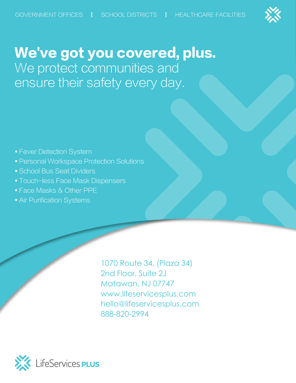

# We've got you covered, plus. We protect communities and ensure their safety every day.

- Fever Detection System
- Personal Workspace Protection Solutions
- School Bus Seat Dividers
- Touch-less Face Mask Dispensers
- Face Masks & Other PPE
- Air Purification Systems

1070 Route 34, (Plaza 34) 2nd Floor, Suite 2J Matawan, NJ 07747 [www.lifeservicesplus.com](http://www.lifeservicesplus.com) hello@lifeservicesplus.com 888-820-2994

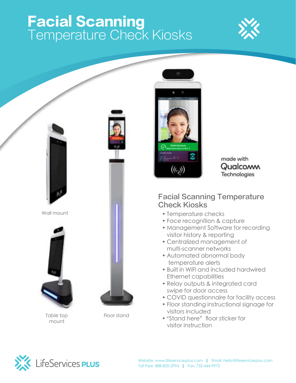# Facial Scanning Temperature Check Kiosks





Wall mount



Table top mount





Floor stand



made with Qualcoww Technologies

#### Facial Scanning Temperature Check Kiosks

- Temperature checks
- Face recognition & capture
- Management Software for recording visitor history & reporting
- Centralized management of multi-scanner networks
- Automated abnormal body temperature alerts
- Built in WiFi and included hardwired Ethernet capabilities
- Relay outputs & integrated card swipe for door access
- COVID questionnaire for facility access
- Floor standing instructional signage for visitors included
- "Stand here" floor sticker for visitor instruction

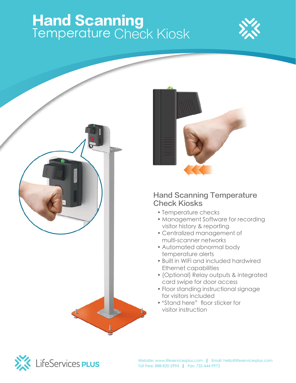## Hand Scanning Temperature Check Kiosk







#### Hand Scanning Temperature Check Kiosks

- Temperature checks
- Management Software for recording visitor history & reporting
- Centralized management of multi-scanner networks
- Automated abnormal body temperature alerts
- Built in WiFi and included hardwired Ethernet capabilities
- (Optional) Relay outputs & integrated card swipe for door access
- Floor standing instructional signage for visitors included
- "Stand here" floor sticker for visitor instruction

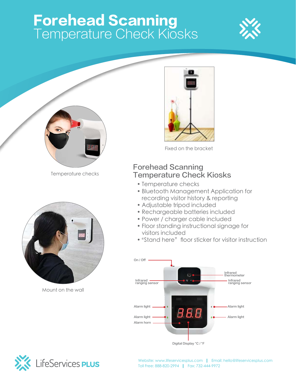# Forehead Scanning Temperature Check Kiosks





Temperature checks



Mount on the wall



Fixed on the bracket

### Forehead Scanning Temperature Check Kiosks

- Temperature checks
- Bluetooth Management Application for recording visitor history & reporting
- Adjustable tripod included
- Rechargeable batteries included
- Power / charger cable included
- Floor standing instructional signage for visitors included
- "Stand here" floor sticker for visitor instruction



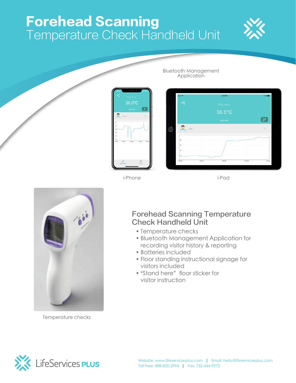## Forehead Scanning Temperature Check Handheld Unit





i-Phone i-Pad

Bluetooth Management Application



Temperature checks

### Forehead Scanning Temperature Check Handheld Unit

- Temperature checks
- Bluetooth Management Application for recording visitor history & reporting
- Batteries included
- Floor standing instructional signage for visitors included
- "Stand here" floor sticker for visitor instruction

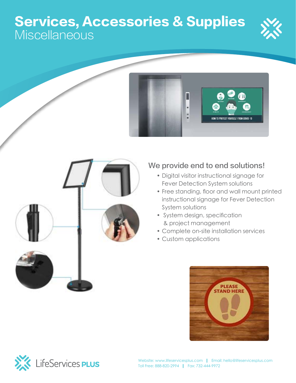### Services, Accessories & Supplies **Miscellaneous**







### We provide end to end solutions!

- Digital visitor instructional signage for Fever Detection System solutions
- Free standing, floor and wall mount printed instructional signage for Fever Detection System solutions
- System design, specification & project management
- Complete on-site installation services
- Custom applications



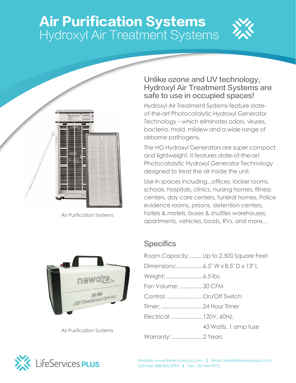## Air Purification Systems Hydroxyl Air Treatment Systems





Air Purification Systems



Air Purification Systems

#### Unlike ozone and UV technology, Hydroxyl Air Treatment Systems are safe to use in occupied spaces!

Hydroxyl Air Treatment Systems feature stateof-the-art Photocatalytic Hydroxyl Generator Technology – which eliminates odors, viruses, bacteria, mold, mildew and a wide range of airborne pathogens.

The HG Hydroxyl Generators are super compact and lightweight. It features state-of-the-art Photocatalytic Hydroxyl Generator Technology designed to treat the air inside the unit.

Use in spaces including...offices, locker rooms, schools, hospitals, clinics, nursing homes, fitness centers, day care centers, funeral homes, Police evidence rooms, prisons, detention centers, hotels & motels, buses & shuttles warehouses, apartments, vehicles, boats, RVs, and more...

### **Specifics**

|                          | Room Capacity: Up to 2,500 Square Feet |
|--------------------------|----------------------------------------|
|                          | Dimensions:6.5" W x 8.5" D x 13" L     |
|                          |                                        |
| Fan Volume: 30 CFM       |                                        |
| Control: On/Off Switch   |                                        |
|                          |                                        |
| Electrical:  120V, 60Hz, |                                        |
|                          | 43 Watts, 1 amp fuse                   |
| <b>Warranty: 2 Years</b> |                                        |

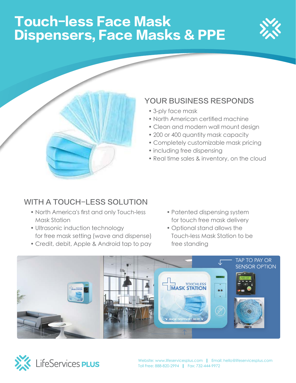# Touch-less Face Mask Dispensers, Face Masks & PPE





- 3-ply face mask
- North American certified machine
- Clean and modern wall mount design
- 200 or 400 quantity mask capacity
- Completely customizable mask pricing
- including free dispensing
- Real time sales & inventory, on the cloud

### WITH A TOUCH-LESS SOLUTION

- North America's first and only Touch-less **Mask Station**
- **Ultrasonic induction technology** for free mask setting (wave and dispense) **and Businesses**
- Credit, debit, Apple & Android tap to pay
- Patented dispensing system for touch free mask delivery
- Optional stand allows the Touch-less Mask Station to be free standing